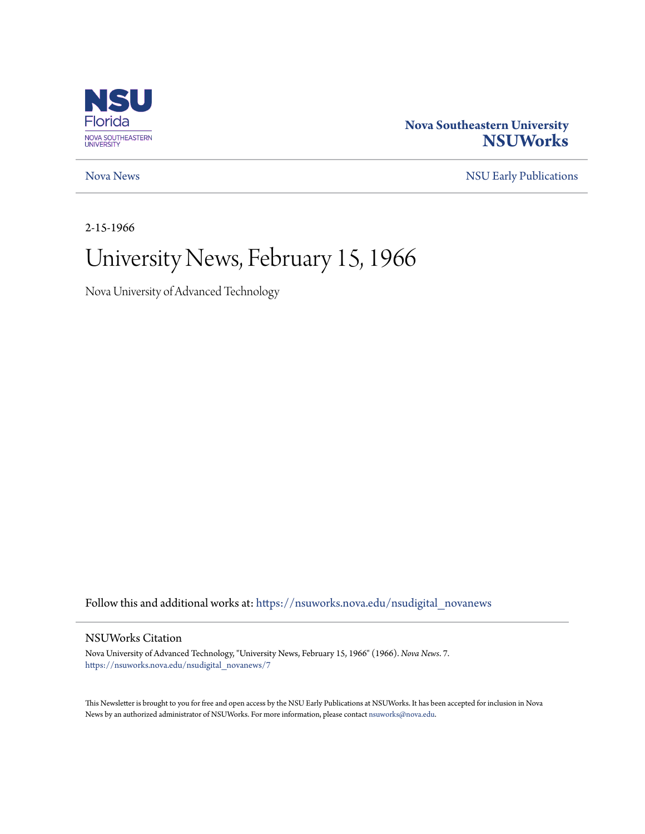

### **Nova Southeastern University [NSUWorks](https://nsuworks.nova.edu?utm_source=nsuworks.nova.edu%2Fnsudigital_novanews%2F7&utm_medium=PDF&utm_campaign=PDFCoverPages)**

[Nova News](https://nsuworks.nova.edu/nsudigital_novanews?utm_source=nsuworks.nova.edu%2Fnsudigital_novanews%2F7&utm_medium=PDF&utm_campaign=PDFCoverPages) [NSU Early Publications](https://nsuworks.nova.edu/nsudigital_earlypubs?utm_source=nsuworks.nova.edu%2Fnsudigital_novanews%2F7&utm_medium=PDF&utm_campaign=PDFCoverPages)

2-15-1966

## University News, February 15, 1966

Nova University of Advanced Technology

Follow this and additional works at: [https://nsuworks.nova.edu/nsudigital\\_novanews](https://nsuworks.nova.edu/nsudigital_novanews?utm_source=nsuworks.nova.edu%2Fnsudigital_novanews%2F7&utm_medium=PDF&utm_campaign=PDFCoverPages)

#### NSUWorks Citation

Nova University of Advanced Technology, "University News, February 15, 1966" (1966). *Nova News*. 7. [https://nsuworks.nova.edu/nsudigital\\_novanews/7](https://nsuworks.nova.edu/nsudigital_novanews/7?utm_source=nsuworks.nova.edu%2Fnsudigital_novanews%2F7&utm_medium=PDF&utm_campaign=PDFCoverPages)

This Newsletter is brought to you for free and open access by the NSU Early Publications at NSUWorks. It has been accepted for inclusion in Nova News by an authorized administrator of NSUWorks. For more information, please contact [nsuworks@nova.edu.](mailto:nsuworks@nova.edu)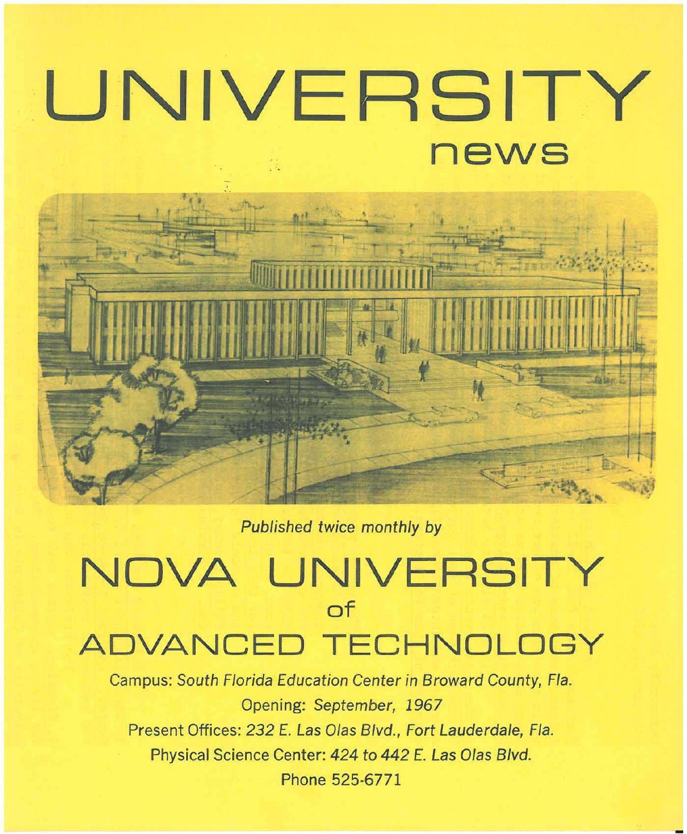# **UNIVERSITY news**



## **NOVA UNIVERSITY of ADVANCED TECHNOLOGY**

Campus: South Florida Education Center in Broward County, Fla. Opening: September, 1967 Present Offices: 232 E. Las Olas Blvd., Fort Lauderdale, Fla. Physical Science Center: 424 to 442 E. Las Olas Blvd. Phone 525-6771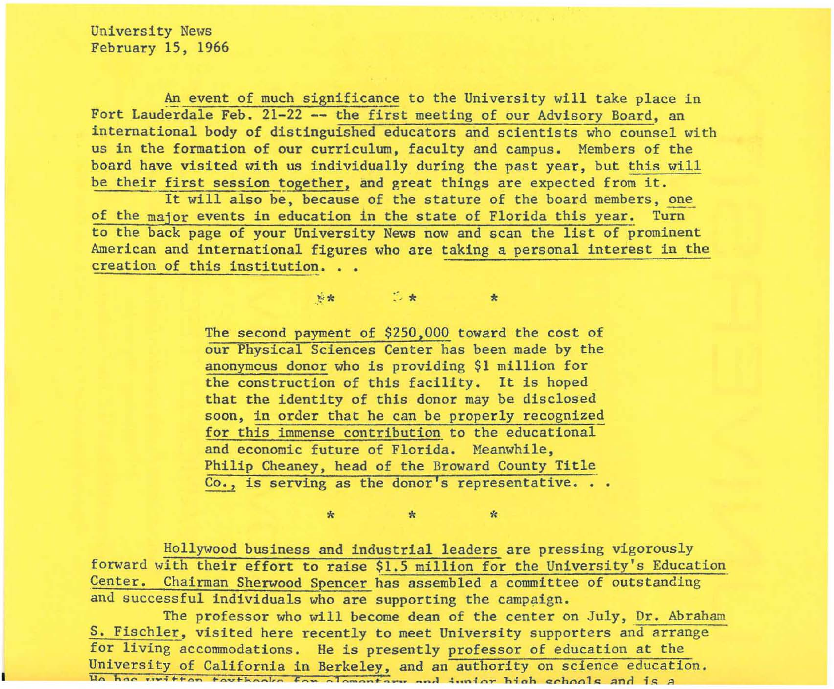University News February 15, 1966

An event of much significance to the University will take place in Fort Lauderdale Feb. 21-22 -- the first meeting of our Advisory Board, an international body of distinguished educators and scientists who counsel with us in the formation of our curriculum, faculty and campus. Members of the board have visited with us individually during the past year, but this will be their first session together, and great things are expected from it.

It will also be, because of the stature of the board members, one of the major events in education in the state of Florida this year. Turn to the back page of your University News now and scan the list of prominent American and international figures who are taking a personal interest in the creation of this institution...

 $\star$ 

 $\mathbf{k}$ 

**参索 ◎ ◎ ★** ◎

 $\frac{1}{N}$ 

The second payment of \$250,000 toward the cost of our Physical Sciences Center has been made by the anonymous donor who is providing \$1 million for the construction of this facility. It is hoped that the identity of this donor may be disclosed soon, in order that he can be properly recognized for this immense contribution to the educational and economic future of Florida. Meanwhile, Philip Cheaney, head of the Broward County Title Co., is serving as the donor's representative...

Hollywood business and industrial leaders are pressing vigorously forward with their effort to raise \$1.5 million for the University's Education Center. Chairman Sherwood Spencer has assembled a committee of outstanding and successful individuals who are supporting the campaign.

 $\star$ 

The professor who will become dean of the center on July, Dr. Abraham S. Fischler, visited here recently to meet University supporters and arrange for living accommodations. He is presently professor of education at the University of California in Berkeley, and an authority on science education. He has written touthories for alamantary and junior high schools and is a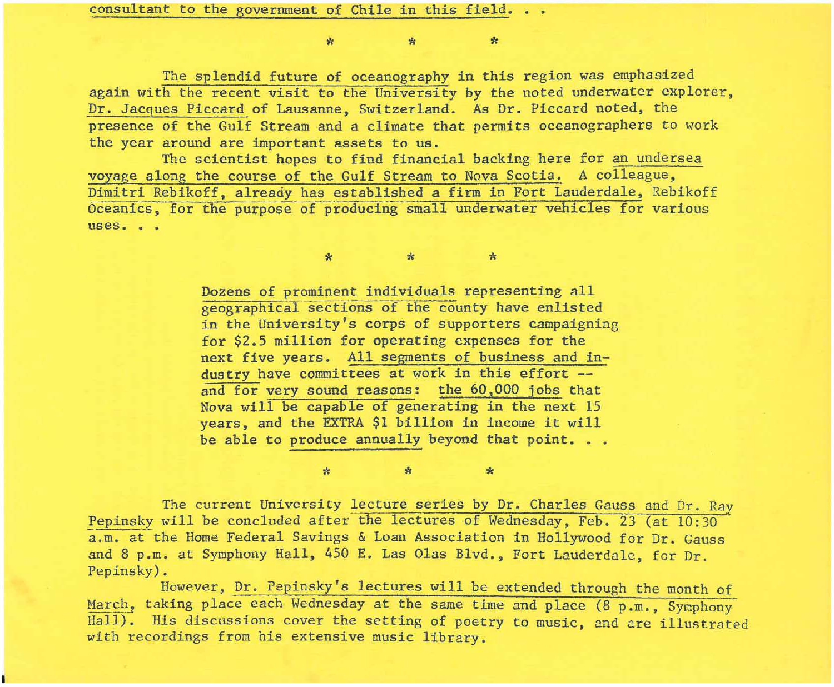consultant to the government of Chile in this field.

\* \* \*

The splendid future of oceanography in this region was emphasized again with the recent visit to the University by the noted underwater explorer, Dr. Jacques Piccard of Lausanne, Switzerland. As Dr. Piccard noted, the presence of the Gulf Stream and a climate that permits oceanographers to work the year around are important assets to us.

The scientist hopes to find financial backing here for an undersea voyage along the course of the Gulf Stream to Nova Scotia. A colleague, Dimitri Rebikoff, already has established a firm in Fort Lauderdale, Rebikoff Oceanics, for the purpose of producing small underwater vehicles for various uses. . .

> Dozens of prominent individuals representing all geographical sections of the county have enlisted in the University's corps of supporters campaigning for \$2.5 million for operating expenses for the next five years. All segments of business and industry have committees at work in this effort -and for very sound reasons: the 60,000 jobs that Nova will be capable of generating in the next 15 years, and the EXTRA \$1 billion in income it will be able to produce annually beyond that point. . .

\* \* \*

The current University lecture series by Dr. Charles Gauss and Dr. Ray Pepinsky will be concluded after the lectures of Wednesday, Feb. 23 (at  $10:30$ a.m. at the Home Federal Savings & Loan Association in Hollywood for Dr. Gauss and 8 p.m. at Symphony Hall, 450 E. Las Olas Blvd., Fort Lauderdale, for Dr. Pepinsky).

 $*$  \*  $*$ 

However, Dr. Pepinsky's lectures will be extended through the month of March, taking place each Wednesday at the same time and place (8 p.m., Symphony Hall). His discussions cover the setting of poetry to music, and are illustrated with recordings from his extensive music library.